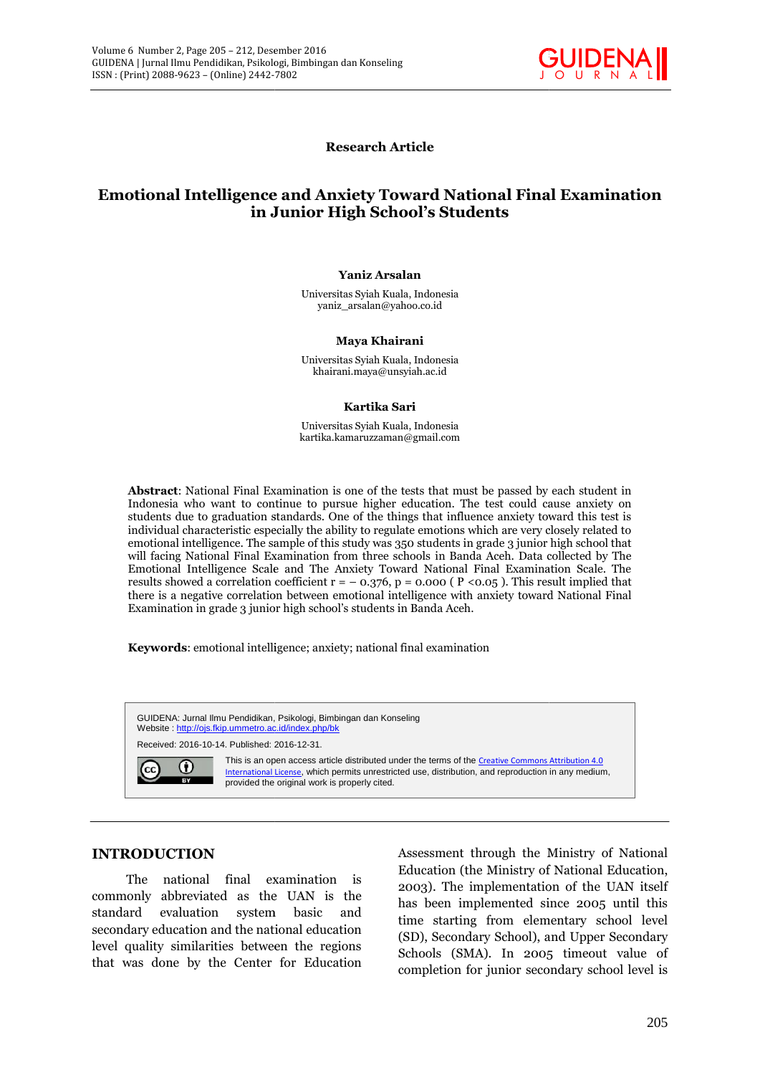

**Research Article**

# **Emotional Intelligence and Anxiety Toward National Final Examination Emotional Intelligence Examinationin in Junior High School's Students**

#### **Yaniz Arsalan**

Universitas Syiah Kuala, Indonesia yaniz\_arsalan@yahoo.co.id Kuala, yaniz\_arsalan@yahoo.co.id

#### **Maya Khairani Maya Khairani**

Universitas Syiah Kuala, Indonesia khairani.maya@unsyiah.ac.id Kuala,<br><sup>��</sup>unsyia<br>**a Sar**i

#### **Kartika Sari**

Universitas Syiah Kuala, Indonesia kartika.kamaruzzaman@gmail.com

**Abstract**: National Final Examination is one of the tests that must be passed by each student in Indonesia who want to continue to pursue higher education. The test could cause anxiety on students due to graduation standards. One of the things that influence anxiety toward this test is individual characteristic especially the ability to regulate emotions which are very closely related to emotional intelligence. The sample of this study was 350 students in grade 3 junior high school that will facing National Final Examination from three schools in Banda Aceh. Data collected by The Emotional Intelligence Scale and The Anxiety Toward National Final Examination Scale. The results showed a correlation coefficient  $r = -0.376$ ,  $p = 0.000$  ( $P < 0.05$ ). This result implied that there is a negative correlation between emotional intelligence with anxiety toward National Final Examination in grade 3 junior high school's students in Banda Aceh. Banda **Abstract**: National Final Examination is one of the tests that must be passed by each student in Indonesia who want to continue to pursue higher education. The test could cause anxiety on students due to graduation standa ing National Final Examination from three schools in Banda Aceh. Data collected by The<br>nal Intelligence Scale and The Anxiety Toward National Final Examination Scale. The<br>showed a correlation coefficient  $r = -0.376$ ,  $p = 0$  $\mu$ <sup>2</sup> 305 – 212, Desember/2016<br>
Mentalem since until (Seconds Final Examination The internet since until (Seconds Final Examination III) Junior Education The internet of the internet of the internet of the internet of t

**Keywords**: emotional intelligence; anxiety; national final examination



# **INTRODUCTION INTRODUCTION**

The national final examination is commonly abbreviated as the UAN is the standard evaluation system basic and secondary education and the national education level quality similarities between the regions that was done by the Center for Education final examination is<br>  $\begin{array}{ccc} \text{1 as the } \text{UAN} \text{ is the } & \text{200} \\ \text{system} \text{ basic} \text{ and } & \text{thus} \\ \text{d the national education} \text{ (SI)} \text{ is between the regions } & \text{Sch} \\ \text{center for Education} \text{ or } & \text{equation} \end{array}$ 

Assessment through the Ministry of National Education (the Ministry of National Education, 2003). The implementation of the UAN itself has been implemented since 2005 until this time starting from elementary school level (SD), Secondary School), and Upper Secondary Schools (SMA). In 2005 timeout value of completion for junior secondary school level is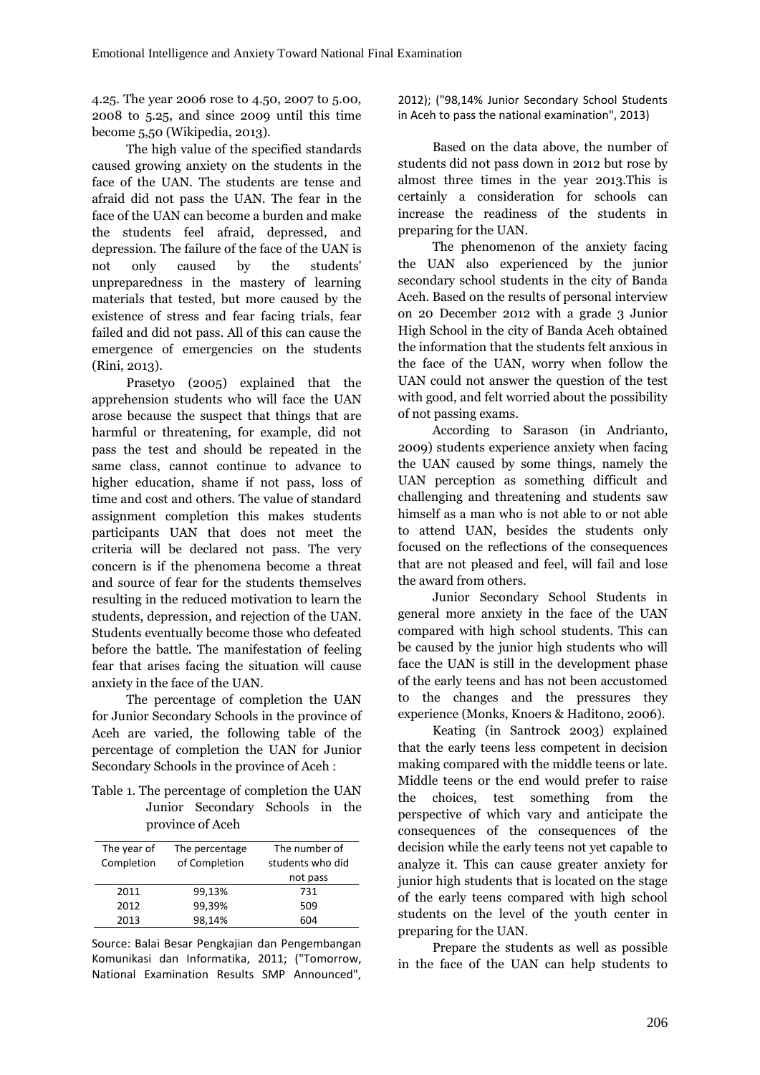4.25. The year 2006 rose to 4.50, 2007 to 5.00, 2008 to 5.25, and since 2009 until this time become 5,50 (Wikipedia, 2013).

The high value of the specified standards caused growing anxiety on the students in the face of the UAN. The students are tense and afraid did not pass the UAN. The fear in the face of the UAN can become a burden and make the students feel afraid, depressed, and depression. The failure of the face of the UAN is not only caused by the students' unpreparedness in the mastery of learning materials that tested, but more caused by the existence of stress and fear facing trials, fear failed and did not pass. All of this can cause the emergence of emergencies on the students (Rini, 2013).

Prasetyo (2005) explained that the apprehension students who will face the UAN arose because the suspect that things that are harmful or threatening, for example, did not pass the test and should be repeated in the same class, cannot continue to advance to higher education, shame if not pass, loss of time and cost and others. The value of standard assignment completion this makes students participants UAN that does not meet the criteria will be declared not pass. The very concern is if the phenomena become a threat and source of fear for the students themselves resulting in the reduced motivation to learn the students, depression, and rejection of the UAN. Students eventually become those who defeated before the battle. The manifestation of feeling fear that arises facing the situation will cause anxiety in the face of the UAN.

The percentage of completion the UAN for Junior Secondary Schools in the province of Aceh are varied, the following table of the percentage of completion the UAN for Junior Secondary Schools in the province of Aceh :

Table 1. The percentage of completion the UAN the Junior Secondary Schools in the province of Aceh

| The year of<br>Completion | The percentage<br>of Completion | The number of<br>students who did |  |
|---------------------------|---------------------------------|-----------------------------------|--|
|                           |                                 | not pass                          |  |
| 2011                      | 99,13%                          | 731                               |  |
| 2012                      | 99,39%                          | 509                               |  |
| 2013                      | 98,14%                          | 604                               |  |

Source: Balai Besar Pengkajian dan Pengembangan Komunikasi dan Informatika, 2011; ("Tomorrow, National Examination Results SMP Announced", 2012); ("98,14% Junior Secondary School Students in Aceh to pass the national examination", 2013)

Based on the data above, the number of students did not pass down in 2012 but rose by almost three times in the year 2013.This is certainly a consideration for schools can increase the readiness of the students in preparing for the UAN.

The phenomenon of the anxiety facing the UAN also experienced by the junior secondary school students in the city of Banda Aceh. Based on the results of personal interview on 20 December 2012 with a grade 3 Junior High School in the city of Banda Aceh obtained the information that the students felt anxious in the face of the UAN, worry when follow the UAN could not answer the question of the test with good, and felt worried about the possibility of not passing exams.

According to Sarason (in Andrianto, 2009) students experience anxiety when facing the UAN caused by some things, namely the UAN perception as something difficult and challenging and threatening and students saw himself as a man who is not able to or not able to attend UAN, besides the students only focused on the reflections of the consequences that are not pleased and feel, will fail and lose the award from others.

Junior Secondary School Students in general more anxiety in the face of the UAN compared with high school students. This can be caused by the junior high students who will face the UAN is still in the development phase of the early teens and has not been accustomed to the changes and the pressures they experience (Monks, Knoers & Haditono, 2006).

Keating (in Santrock 2003) explained that the early teens less competent in decision making compared with the middle teens or late. Middle teens or the end would prefer to raise choices, test something from the perspective of which vary and anticipate the consequences of the consequences of the decision while the early teens not yet capable to analyze it. This can cause greater anxiety for junior high students that is located on the stage of the early teens compared with high school students on the level of the youth center in preparing for the UAN.

Prepare the students as well as possible in the face of the UAN can help students to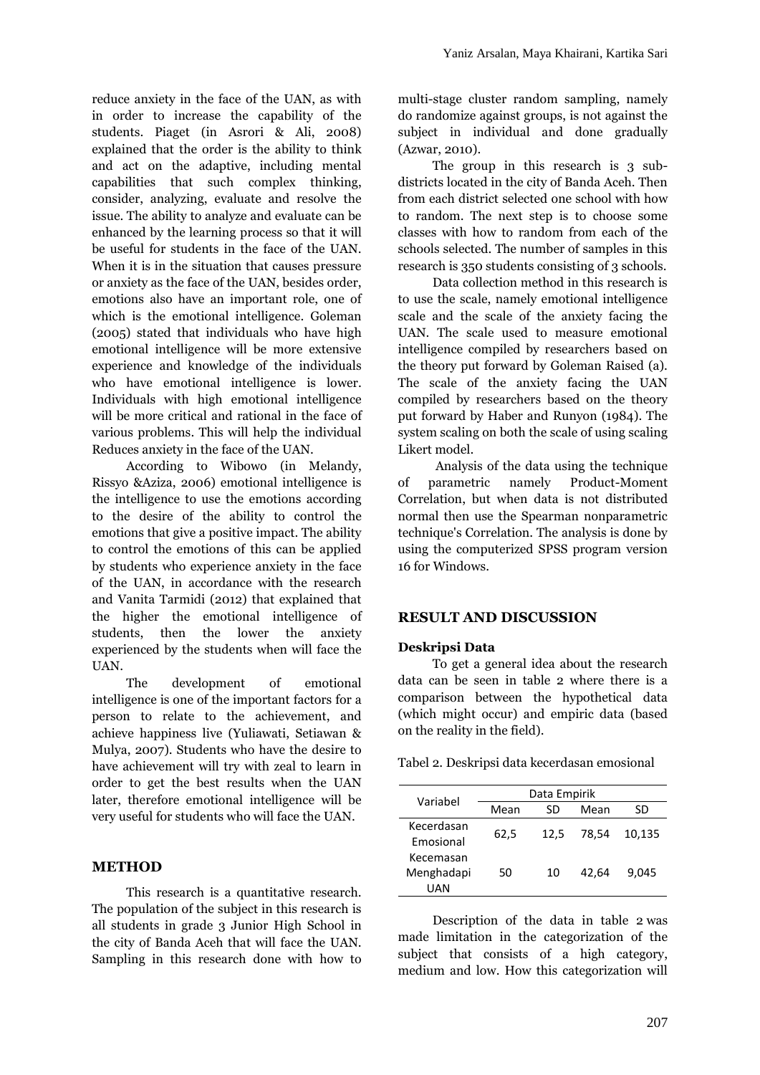reduce anxiety in the face of the UAN, as with in order to increase the capability of the students. Piaget (in Asrori & Ali, 2008) explained that the order is the ability to think and act on the adaptive, including mental capabilities that such complex thinking, consider, analyzing, evaluate and resolve the issue. The ability to analyze and evaluate can be enhanced by the learning process so that it will be useful for students in the face of the UAN. When it is in the situation that causes pressure or anxiety as the face of the UAN, besides order, emotions also have an important role, one of which is the emotional intelligence. Goleman (2005) stated that individuals who have high emotional intelligence will be more extensive experience and knowledge of the individuals who have emotional intelligence is lower. Individuals with high emotional intelligence will be more critical and rational in the face of various problems. This will help the individual Reduces anxiety in the face of the UAN.

According to Wibowo (in Melandy, Rissyo &Aziza, 2006) emotional intelligence is the intelligence to use the emotions according to the desire of the ability to control the emotions that give a positive impact. The ability to control the emotions of this can be applied by students who experience anxiety in the face of the UAN, in accordance with the research and Vanita Tarmidi (2012) that explained that the higher the emotional intelligence of students, then the lower the anxiety experienced by the students when will face the UAN.

The development of emotional intelligence is one of the important factors for a person to relate to the achievement, and achieve happiness live (Yuliawati, Setiawan & Mulya, 2007). Students who have the desire to have achievement will try with zeal to learn in order to get the best results when the UAN later, therefore emotional intelligence will be very useful for students who will face the UAN.

## **METHOD**

This research is a quantitative research. The population of the subject in this research is all students in grade 3 Junior High School in the city of Banda Aceh that will face the UAN. Sampling in this research done with how to multi-stage cluster random sampling, namely do randomize against groups, is not against the subject in individual and done gradually (Azwar, 2010).

The group in this research is 3 subdistricts located in the city of Banda Aceh. Then from each district selected one school with how to random. The next step is to choose some classes with how to random from each of the schools selected. The number of samples in this research is 350 students consisting of 3 schools.

Data collection method in this research is to use the scale, namely emotional intelligence scale and the scale of the anxiety facing the UAN. The scale used to measure emotional intelligence compiled by researchers based on the theory put forward by Goleman Raised (a). The scale of the anxiety facing the UAN compiled by researchers based on the theory put forward by Haber and Runyon (1984). The system scaling on both the scale of using scaling Likert model.

Analysis of the data using the technique parametric namely Product-Moment Correlation, but when data is not distributed normal then use the Spearman nonparametric technique's Correlation. The analysis is done by using the computerized SPSS program version 16 for Windows.

## **RESULT AND DISCUSSION**

## **Deskripsi Data**

To get a general idea about the research data can be seen in table 2 where there is a comparison between the hypothetical data (which might occur) and empiric data (based on the reality in the field).

| Tabel 2. Deskripsi data kecerdasan emosional |  |
|----------------------------------------------|--|
|----------------------------------------------|--|

| Variabel                       | Data Empirik |      |       |        |
|--------------------------------|--------------|------|-------|--------|
|                                | Mean         | SD   | Mean  | SD     |
| Kecerdasan<br>Emosional        | 62,5         | 12.5 | 78.54 | 10.135 |
| Kecemasan<br>Menghadapi<br>UAN | 50           | 10   | 42.64 | 9.045  |

Description of the data in table 2 was made limitation in the categorization of the subject that consists of a high category, medium and low. How this categorization will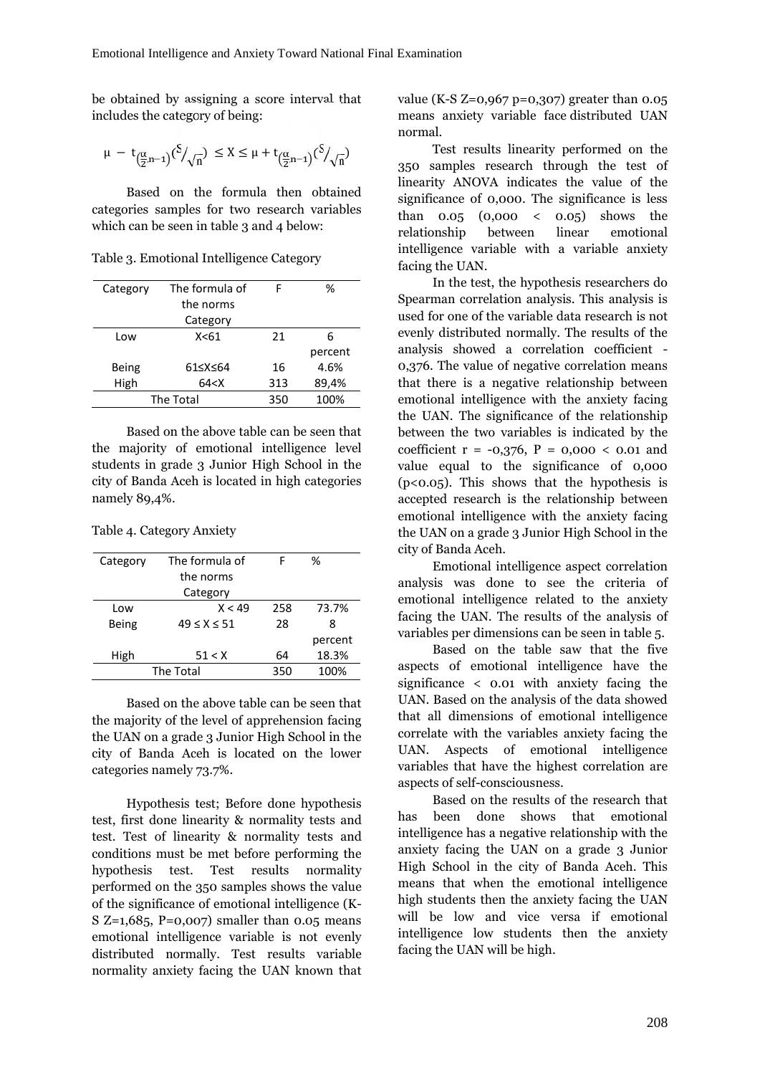be obtained by assigning a score interval that includes the category of being:

$$
\mu\,-\,t_{\left(\frac{\alpha}{2},n-1\right)}(\textup{\textsf{S}}/\sqrt{n})\,\,\leq X\leq \mu+t_{\left(\frac{\alpha}{2},n-1\right)}(\textup{\textsf{S}}/\sqrt{n})
$$

Based on the formula then obtained categories samples for two research variables which can be seen in table 3 and 4 below:

Table 3. Emotional Intelligence Category

|           | Category     | The formula of | F   | %               |     |
|-----------|--------------|----------------|-----|-----------------|-----|
| the norms |              |                |     | Sp<br><b>us</b> |     |
|           |              | Category       |     |                 |     |
|           | Low          | X<61           | 21  | 6               | ev  |
|           |              |                |     | percent         | an  |
|           | <b>Being</b> | 61≤X≤64        | 16  | 4.6%            |     |
|           | High         | 64 < X         | 313 | 89,4%           | tha |
|           |              | The Total      | 350 | 100%            |     |
|           |              |                |     |                 |     |

Based on the above table can be seen that the majority of emotional intelligence level students in grade 3 Junior High School in the city of Banda Aceh is located in high categories namely 89,4%.

Table 4. Category Anxiety

| Category | The formula of      | F   | %       |
|----------|---------------------|-----|---------|
|          | the norms           |     |         |
|          | Category            |     |         |
| Low      | X < 49              | 258 | 73.7%   |
| Being    | $49 \leq X \leq 51$ | 28  | 8       |
|          |                     |     | percent |
| High     | 51 < X              | 64  | 18.3%   |
|          | The Total           | 350 | 100%    |
|          |                     |     |         |

Based on the above table can be seen that the majority of the level of apprehension facing the UAN on a grade 3 Junior High School in the city of Banda Aceh is located on the lower categories namely 73.7%.

Hypothesis test; Before done hypothesis test, first done linearity & normality tests and test. Test of linearity & normality tests and conditions must be met before performing the hypothesis test. Test results normality performed on the 350 samples shows the value of the significance of emotional intelligence (K- S  $Z=1,685$ , P=0,007) smaller than 0.05 means emotional intelligence variable is not evenly distributed normally. Test results variable normality anxiety facing the UAN known that

value (K-S Z=0,967 p=0,307) greater than 0.05 means anxiety variable face distributed UAN normal.

Test results linearity performed on the 350 samples research through the test of linearity ANOVA indicates the value of the significance of 0,000. The significance is less than 0.05 (0,000 < 0.05) shows the relationship between linear emotional intelligence variable with a variable anxiety facing the UAN.

In the test, the hypothesis researchers do Spearman correlation analysis. This analysis is used for one of the variable data research is not evenly distributed normally. The results of the analysis showed a correlation coefficient - 0,376. The value of negative correlation means that there is a negative relationship between emotional intelligence with the anxiety facing the UAN. The significance of the relationship between the two variables is indicated by the coefficient  $r = -0.376$ ,  $P = 0.000 < 0.01$  and value equal to the significance of 0,000 (p<0.05). This shows that the hypothesis is accepted research is the relationship between emotional intelligence with the anxiety facing the UAN on a grade 3 Junior High School in the city of Banda Aceh.

Emotional intelligence aspect correlation analysis was done to see the criteria of emotional intelligence related to the anxiety facing the UAN. The results of the analysis of variables per dimensions can be seen in table 5.

Based on the table saw that the five aspects of emotional intelligence have the significance < 0.01 with anxiety facing the UAN. Based on the analysis of the data showed that all dimensions of emotional intelligence correlate with the variables anxiety facing the UAN. Aspects of emotional intelligence variables that have the highest correlation are aspects of self-consciousness.

Based on the results of the research that been done shows that emotional intelligence has a negative relationship with the anxiety facing the UAN on a grade 3 Junior High School in the city of Banda Aceh. This means that when the emotional intelligence high students then the anxiety facing the UAN will be low and vice versa if emotional intelligence low students then the anxiety facing the UAN will be high.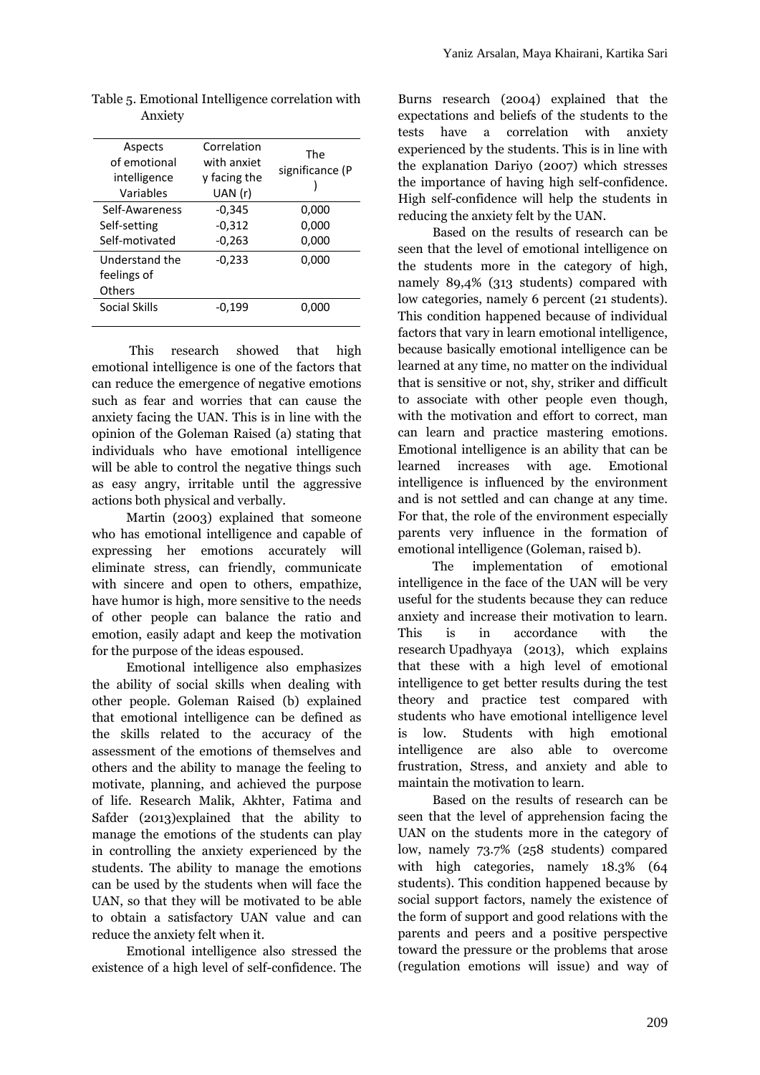| Aspects        | Correlation  | <b>The</b>      |
|----------------|--------------|-----------------|
| of emotional   | with anxiet  |                 |
| intelligence   | y facing the | significance (P |
| Variables      | UAN (r)      |                 |
| Self-Awareness | $-0,345$     | 0,000           |
| Self-setting   | $-0,312$     | 0,000           |
| Self-motivated | $-0,263$     | 0,000           |
| Understand the | $-0,233$     | 0,000           |
| feelings of    |              |                 |
| <b>Others</b>  |              |                 |
| Social Skills  | $-0.199$     | 0.000           |

Table 5. Emotional Intelligence correlation with Anxiety

This research showed that high emotional intelligence is one of the factors that can reduce the emergence of negative emotions such as fear and worries that can cause the anxiety facing the UAN. This is in line with the opinion of the Goleman Raised (a) stating that individuals who have emotional intelligence will be able to control the negative things such learned as easy angry, irritable until the aggressive actions both physical and verbally.

Martin (2003) explained that someone who has emotional intelligence and capable of expressing her emotions accurately will eliminate stress, can friendly, communicate with sincere and open to others, empathize, have humor is high, more sensitive to the needs of other people can balance the ratio and emotion, easily adapt and keep the motivation for the purpose of the ideas espoused.

Emotional intelligence also emphasizes the ability of social skills when dealing with other people. Goleman Raised (b) explained that emotional intelligence can be defined as the skills related to the accuracy of the assessment of the emotions of themselves and others and the ability to manage the feeling to motivate, planning, and achieved the purpose of life. Research Malik, Akhter, Fatima and Safder (2013)explained that the ability to manage the emotions of the students can play in controlling the anxiety experienced by the students. The ability to manage the emotions can be used by the students when will face the UAN, so that they will be motivated to be able to obtain a satisfactory UAN value and can reduce the anxiety felt when it.

Emotional intelligence also stressed the existence of a high level of self-confidence. The Burns research (2004) explained that the expectations and beliefs of the students to the tests have a correlation with anxiety experienced by the students. This is in line with the explanation Dariyo (2007) which stresses the importance of having high self-confidence. High self-confidence will help the students in reducing the anxiety felt by the UAN.

Based on the results of research can be seen that the level of emotional intelligence on the students more in the category of high, namely 89,4% (313 students) compared with low categories, namely 6 percent (21 students). This condition happened because of individual factors that vary in learn emotional intelligence, because basically emotional intelligence can be learned at any time, no matter on the individual that is sensitive or not, shy, striker and difficult to associate with other people even though, with the motivation and effort to correct, man can learn and practice mastering emotions. Emotional intelligence is an ability that can be increases with age. Emotional intelligence is influenced by the environment and is not settled and can change at any time. For that, the role of the environment especially parents very influence in the formation of emotional intelligence (Goleman, raised b).

The implementation of emotional intelligence in the face of the UAN will be very useful for the students because they can reduce anxiety and increase their motivation to learn. is in accordance with the research Upadhyaya (2013), which explains that these with a high level of emotional intelligence to get better results during the test theory and practice test compared with students who have emotional intelligence level low. Students with high emotional intelligence are also able to overcome frustration, Stress, and anxiety and able to maintain the motivation to learn.

Based on the results of research can be seen that the level of apprehension facing the UAN on the students more in the category of low, namely 73.7% (258 students) compared with high categories, namely 18.3% (64 students). This condition happened because by social support factors, namely the existence of the form of support and good relations with the parents and peers and a positive perspective toward the pressure or the problems that arose (regulation emotions will issue) and way of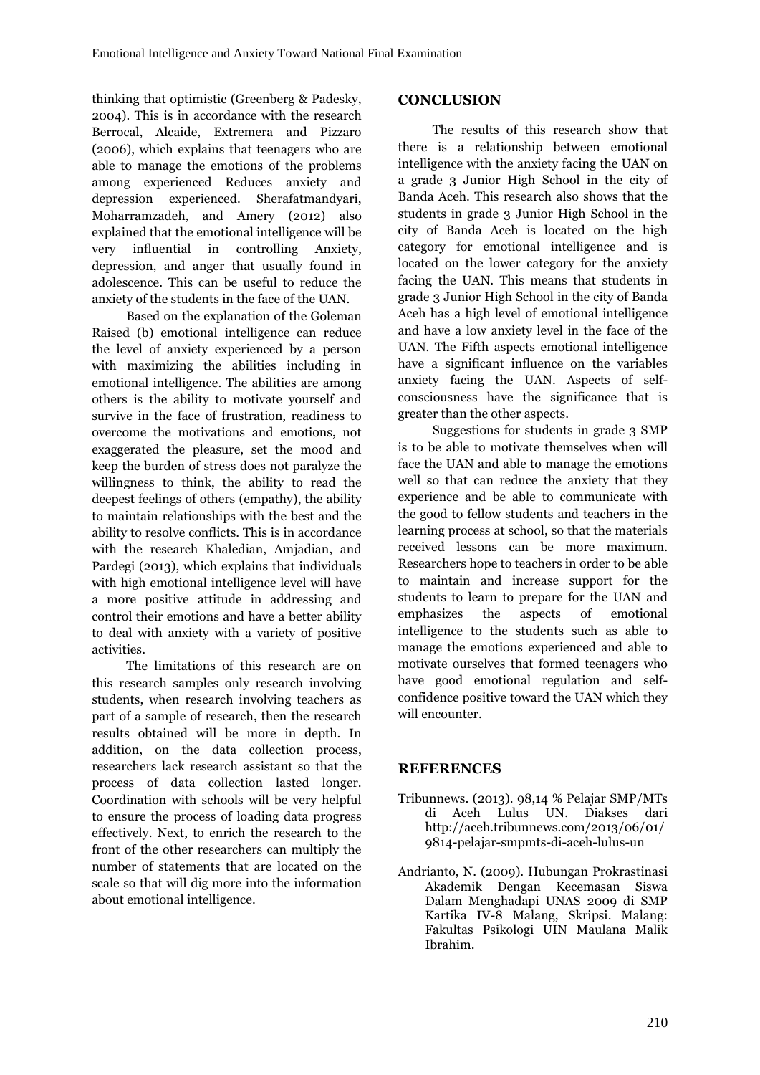thinking that optimistic (Greenberg & Padesky, 2004). This is in accordance with the research Berrocal, Alcaide, Extremera and Pizzaro (2006), which explains that teenagers who are able to manage the emotions of the problems among experienced Reduces anxiety and depression experienced. Sherafatmandyari, Moharramzadeh, and Amery (2012) also explained that the emotional intelligence will be very influential in controlling Anxiety, depression, and anger that usually found in adolescence. This can be useful to reduce the anxiety of the students in the face of the UAN.

Based on the explanation of the Goleman Raised (b) emotional intelligence can reduce the level of anxiety experienced by a person with maximizing the abilities including in emotional intelligence. The abilities are among others is the ability to motivate yourself and survive in the face of frustration, readiness to overcome the motivations and emotions, not exaggerated the pleasure, set the mood and keep the burden of stress does not paralyze the willingness to think, the ability to read the deepest feelings of others (empathy), the ability to maintain relationships with the best and the ability to resolve conflicts. This is in accordance with the research Khaledian, Amjadian, and Pardegi (2013), which explains that individuals with high emotional intelligence level will have a more positive attitude in addressing and students to control their emotions and have a better ability emphasizes control their emotions and have a better ability to deal with anxiety with a variety of positive activities.

The limitations of this research are on this research samples only research involving students, when research involving teachers as part of a sample of research, then the research results obtained will be more in depth. In addition, on the data collection process, researchers lack research assistant so that the process of data collection lasted longer. Coordination with schools will be very helpful to ensure the process of loading data progress effectively. Next, to enrich the research to the front of the other researchers can multiply the number of statements that are located on the scale so that will dig more into the information about emotional intelligence.

# **CONCLUSION**

The results of this research show that there is a relationship between emotional intelligence with the anxiety facing the UAN on a grade 3 Junior High School in the city of Banda Aceh. This research also shows that the students in grade 3 Junior High School in the city of Banda Aceh is located on the high category for emotional intelligence and is located on the lower category for the anxiety facing the UAN. This means that students in grade 3 Junior High School in the city of Banda Aceh has a high level of emotional intelligence and have a low anxiety level in the face of the UAN. The Fifth aspects emotional intelligence have a significant influence on the variables anxiety facing the UAN. Aspects of self consciousness have the significance that is greater than the other aspects.

Suggestions for students in grade 3 SMP is to be able to motivate themselves when will face the UAN and able to manage the emotions well so that can reduce the anxiety that they experience and be able to communicate with the good to fellow students and teachers in the learning process at school, so that the materials received lessons can be more maximum. Researchers hope to teachers in order to be able to maintain and increase support for the students to learn to prepare for the UAN and the aspects of emotional intelligence to the students such as able to manage the emotions experienced and able to motivate ourselves that formed teenagers who have good emotional regulation and self confidence positive toward the UAN which they will encounter.

# **REFERENCES**

- Tribunnews. (2013). 98,14 % Pelajar SMP/MTs di Aceh Lulus UN. Diakses dari http://aceh.tribunnews.com/2013/06/01/ 9814-pelajar-smpmts-di-aceh-lulus-un
- Andrianto, N. (2009). Hubungan Prokrastinasi Akademik Dengan Kecemasan Siswa Dalam Menghadapi UNAS 2009 di SMP Kartika IV-8 Malang, Skripsi. Malang: Fakultas Psikologi UIN Maulana Malik Ibrahim.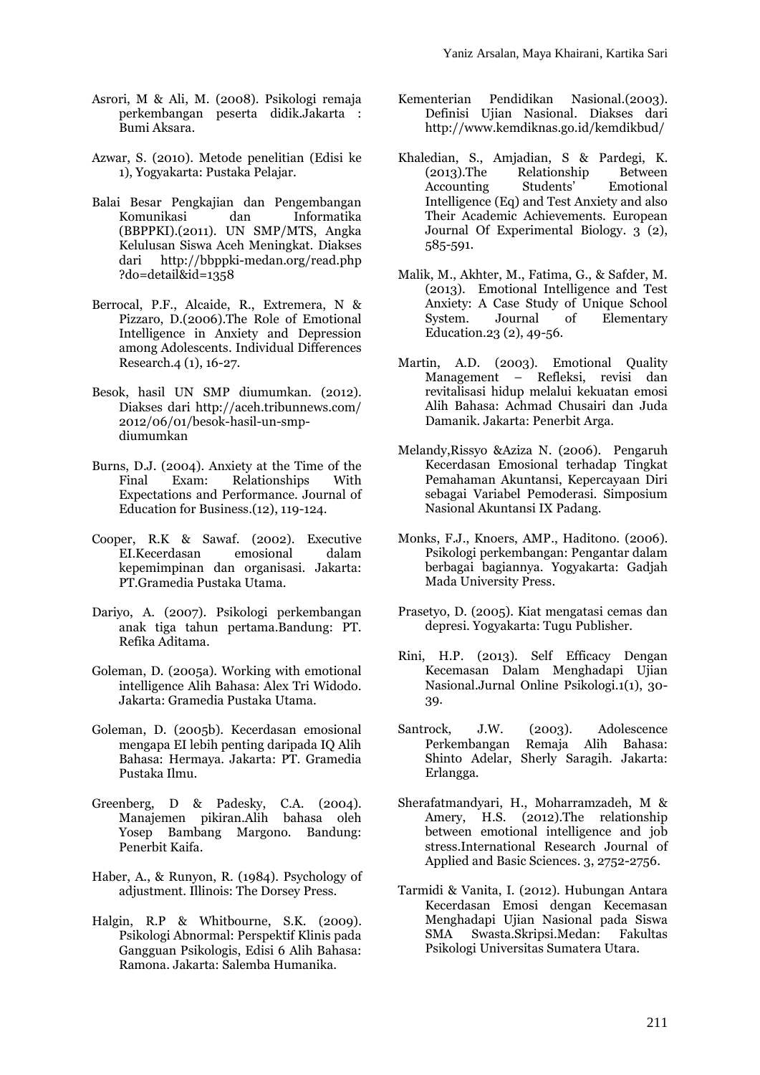- Asrori, M & Ali, M. (2008). Psikologi remaja perkembangan peserta didik.Jakarta : Bumi Aksara.
- Azwar, S. (2010). Metode penelitian (Edisi ke 1), Yogyakarta: Pustaka Pelajar.
- Balai Besar Pengkajian dan Pengembangan dan Informatika (BBPPKI).(2011). UN SMP/MTS, Angka Kelulusan Siswa Aceh Meningkat. Diakses dari http://bbppki-medan.org/read.php ?do=detail&id=1358
- Berrocal, P.F., Alcaide, R., Extremera, N & Anxiety:<br>Pizzaro, D.(2006).The Role of Emotional System. Pizzaro, D.(2006).The Role of Emotional Intelligence in Anxiety and Depression among Adolescents. Individual Differences Research.4 (1), 16-27.
- Besok, hasil UN SMP diumumkan. (2012). Diakses dari http://aceh.tribunnews.com/ 2012/06/01/besok-hasil-un-smp diumumkan
- Burns, D.J. (2004). Anxiety at the Time of the<br>Final Exam: Relationships With Relationships With Expectations and Performance. Journal of Education for Business.(12), 119-124.
- Cooper, R.K & Sawaf. (2002). Executive EI.Kecerdasan kepemimpinan dan organisasi. Jakarta: PT.Gramedia Pustaka Utama.
- Dariyo, A. (2007). Psikologi perkembangan anak tiga tahun pertama.Bandung: PT. Refika Aditama.
- Goleman, D. (2005a). Working with emotional intelligence Alih Bahasa: Alex Tri Widodo. Jakarta: Gramedia Pustaka Utama.
- Goleman, D. (2005b). Kecerdasan emosional mengapa EI lebih penting daripada IQ Alih Bahasa: Hermaya. Jakarta: PT. Gramedia Pustaka Ilmu.
- Greenberg, D & Padesky, C.A. (2004). Manajemen pikiran.Alih bahasa oleh Yosep Bambang Margono. Bandung: Penerbit Kaifa.
- Haber, A., & Runyon, R. (1984). Psychology of adjustment. Illinois: The Dorsey Press.
- Halgin, R.P & Whitbourne, S.K. (2009). Psikologi Abnormal: Perspektif Klinis pada Gangguan Psikologis, Edisi 6 Alih Bahasa: Ramona. Jakarta: Salemba Humanika.
- Pendidikan Nasional.(2003). Definisi Ujian Nasional. Diakses dari http://www.kemdiknas.go.id/kemdikbud/
- Khaledian, S., Amjadian, S & Pardegi, K. (2013).The Relationship Between Accounting Intelligence (Eq) and Test Anxiety and also Their Academic Achievements. European Journal Of Experimental Biology. 3 (2), 585-591.
- Malik, M., Akhter, M., Fatima, G., & Safder, M. (2013). Emotional Intelligence and Test Anxiety: A Case Study of Unique School Journal of Elementary Education.23 (2), 49-56.
- Martin, A.D. (2003). Emotional Quality Management – Refleksi, revisi dan revitalisasi hidup melalui kekuatan emosi Alih Bahasa: Achmad Chusairi dan Juda Damanik. Jakarta: Penerbit Arga.
- Melandy,Rissyo &Aziza N. (2006). Pengaruh Kecerdasan Emosional terhadap Tingkat Pemahaman Akuntansi, Kepercayaan Diri sebagai Variabel Pemoderasi. Simposium Nasional Akuntansi IX Padang.
- Monks, F.J., Knoers, AMP., Haditono. (2006). Psikologi perkembangan: Pengantar dalam berbagai bagiannya. Yogyakarta: Gadjah Mada University Press.
- Prasetyo, D. (2005). Kiat mengatasi cemas dan depresi. Yogyakarta: Tugu Publisher.
- Rini, H.P. (2013). Self Efficacy Dengan Kecemasan Dalam Menghadapi Ujian Nasional.Jurnal Online Psikologi.1(1), 30- 39.
- Santrock, J.W. (2003). Adolescence Perkembangan Remaja Alih Bahasa: Shinto Adelar, Sherly Saragih. Jakarta: Erlangga.
- Sherafatmandyari, H., Moharramzadeh, M & Amery, H.S. (2012).The relationship between emotional intelligence and job stress.International Research Journal of Applied and Basic Sciences. 3, 2752-2756.
- Tarmidi & Vanita, I. (2012). Hubungan Antara Kecerdasan Emosi dengan Kecemasan Menghadapi Ujian Nasional pada Siswa SMA Swasta.Skripsi.Medan: Fakultas Psikologi Universitas Sumatera Utara.